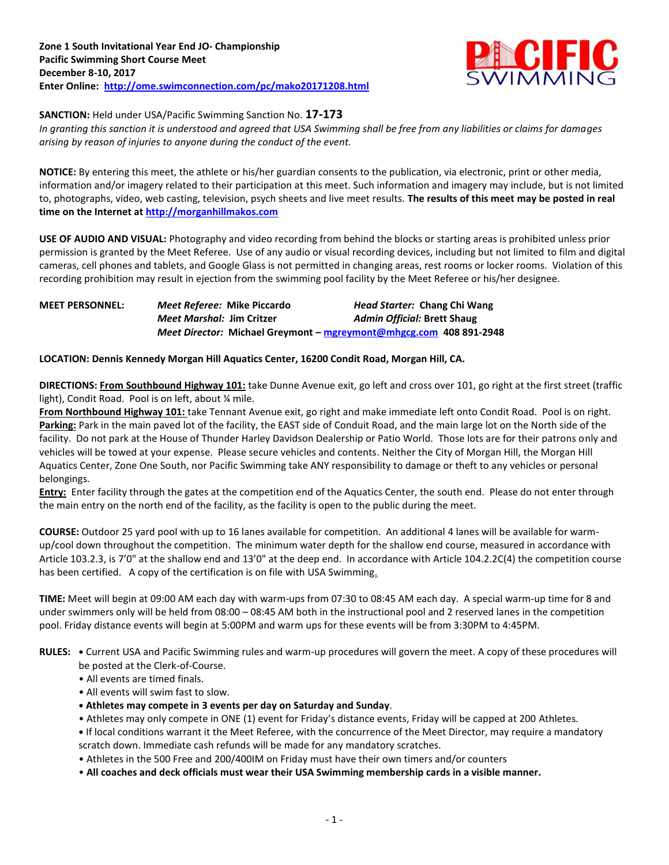

# **SANCTION:** Held under USA/Pacific Swimming Sanction No. **17-173**

*In granting this sanction it is understood and agreed that USA Swimming shall be free from any liabilities or claims for damages arising by reason of injuries to anyone during the conduct of the event.*

**NOTICE:** By entering this meet, the athlete or his/her guardian consents to the publication, via electronic, print or other media, information and/or imagery related to their participation at this meet. Such information and imagery may include, but is not limited to, photographs, video, web casting, television, psych sheets and live meet results. **The results of this meet may be posted in real time on the Internet a[t http://morganhillmakos.com](http://morganhillmakos.com/)**

**USE OF AUDIO AND VISUAL:** Photography and video recording from behind the blocks or starting areas is prohibited unless prior permission is granted by the Meet Referee. Use of any audio or visual recording devices, including but not limited to film and digital cameras, cell phones and tablets, and Google Glass is not permitted in changing areas, rest rooms or locker rooms. Violation of this recording prohibition may result in ejection from the swimming pool facility by the Meet Referee or his/her designee.

# **MEET PERSONNEL:** *Meet Referee:* **Mike Piccardo** *Head Starter:* **Chang Chi Wang** *Meet Marshal:* **Jim Critzer** *Admin Official:* **Brett Shaug** *Meet Director:* **Michael Greymont – [mgreymont@mhgcg.com](mailto:mgreymont@mhgcg.com) 408 891-2948**

# **LOCATION: Dennis Kennedy Morgan Hill Aquatics Center, 16200 Condit Road, Morgan Hill, CA.**

**DIRECTIONS: From Southbound Highway 101:** take Dunne Avenue exit, go left and cross over 101, go right at the first street (traffic light), Condit Road. Pool is on left, about % mile.

**From Northbound Highway 101:** take Tennant Avenue exit, go right and make immediate left onto Condit Road. Pool is on right. **Parking:** Park in the main paved lot of the facility, the EAST side of Conduit Road, and the main large lot on the North side of the facility. Do not park at the House of Thunder Harley Davidson Dealership or Patio World. Those lots are for their patrons only and vehicles will be towed at your expense. Please secure vehicles and contents. Neither the City of Morgan Hill, the Morgan Hill Aquatics Center, Zone One South, nor Pacific Swimming take ANY responsibility to damage or theft to any vehicles or personal belongings.

**Entry:** Enter facility through the gates at the competition end of the Aquatics Center, the south end. Please do not enter through the main entry on the north end of the facility, as the facility is open to the public during the meet.

**COURSE:** Outdoor 25 yard pool with up to 16 lanes available for competition. An additional 4 lanes will be available for warmup/cool down throughout the competition. The minimum water depth for the shallow end course, measured in accordance with Article 103.2.3, is 7'0" at the shallow end and 13'0" at the deep end. In accordance with Article 104.2.2C(4) the competition course has been certified. A copy of the certification is on file with USA Swimming.

**TIME:** Meet will begin at 09:00 AM each day with warm-ups from 07:30 to 08:45 AM each day. A special warm-up time for 8 and under swimmers only will be held from 08:00 – 08:45 AM both in the instructional pool and 2 reserved lanes in the competition pool. Friday distance events will begin at 5:00PM and warm ups for these events will be from 3:30PM to 4:45PM.

**RULES: •** Current USA and Pacific Swimming rules and warm-up procedures will govern the meet. A copy of these procedures will

- be posted at the Clerk-of-Course.
- All events are timed finals.
- All events will swim fast to slow.
- **• Athletes may compete in 3 events per day on Saturday and Sunday**.
- Athletes may only compete in ONE (1) event for Friday's distance events, Friday will be capped at 200 Athletes.

**•** If local conditions warrant it the Meet Referee, with the concurrence of the Meet Director, may require a mandatory scratch down. Immediate cash refunds will be made for any mandatory scratches.

- Athletes in the 500 Free and 200/400IM on Friday must have their own timers and/or counters
- **All coaches and deck officials must wear their USA Swimming membership cards in a visible manner.**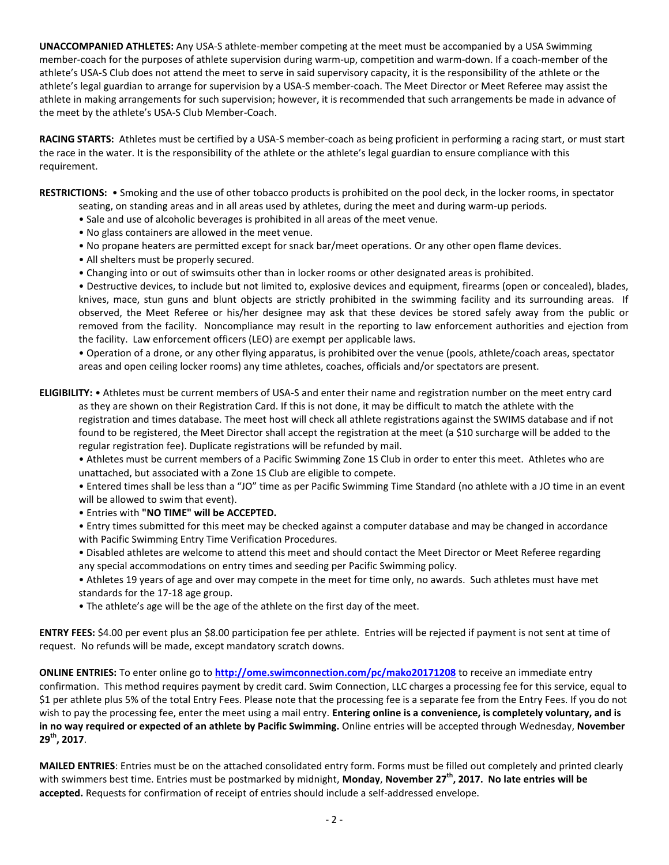**UNACCOMPANIED ATHLETES:** Any USA-S athlete-member competing at the meet must be accompanied by a USA Swimming member-coach for the purposes of athlete supervision during warm-up, competition and warm-down. If a coach-member of the athlete's USA-S Club does not attend the meet to serve in said supervisory capacity, it is the responsibility of the athlete or the athlete's legal guardian to arrange for supervision by a USA-S member-coach. The Meet Director or Meet Referee may assist the athlete in making arrangements for such supervision; however, it is recommended that such arrangements be made in advance of the meet by the athlete's USA-S Club Member-Coach.

**RACING STARTS:** Athletes must be certified by a USA-S member-coach as being proficient in performing a racing start, or must start the race in the water. It is the responsibility of the athlete or the athlete's legal guardian to ensure compliance with this requirement.

**RESTRICTIONS:** • Smoking and the use of other tobacco products is prohibited on the pool deck, in the locker rooms, in spectator

- seating, on standing areas and in all areas used by athletes, during the meet and during warm-up periods.
- Sale and use of alcoholic beverages is prohibited in all areas of the meet venue.
- No glass containers are allowed in the meet venue.
- No propane heaters are permitted except for snack bar/meet operations. Or any other open flame devices.
- All shelters must be properly secured.
- Changing into or out of swimsuits other than in locker rooms or other designated areas is prohibited.

• Destructive devices, to include but not limited to, explosive devices and equipment, firearms (open or concealed), blades, knives, mace, stun guns and blunt objects are strictly prohibited in the swimming facility and its surrounding areas. If observed, the Meet Referee or his/her designee may ask that these devices be stored safely away from the public or removed from the facility. Noncompliance may result in the reporting to law enforcement authorities and ejection from the facility. Law enforcement officers (LEO) are exempt per applicable laws.

• Operation of a drone, or any other flying apparatus, is prohibited over the venue (pools, athlete/coach areas, spectator areas and open ceiling locker rooms) any time athletes, coaches, officials and/or spectators are present.

**ELIGIBILITY:** • Athletes must be current members of USA-S and enter their name and registration number on the meet entry card as they are shown on their Registration Card. If this is not done, it may be difficult to match the athlete with the registration and times database. The meet host will check all athlete registrations against the SWIMS database and if not found to be registered, the Meet Director shall accept the registration at the meet (a \$10 surcharge will be added to the regular registration fee). Duplicate registrations will be refunded by mail.

• Athletes must be current members of a Pacific Swimming Zone 1S Club in order to enter this meet. Athletes who are unattached, but associated with a Zone 1S Club are eligible to compete.

• Entered times shall be less than a "JO" time as per Pacific Swimming Time Standard (no athlete with a JO time in an event will be allowed to swim that event).

- Entries with **"NO TIME" will be ACCEPTED.**
- Entry times submitted for this meet may be checked against a computer database and may be changed in accordance with Pacific Swimming Entry Time Verification Procedures.
- Disabled athletes are welcome to attend this meet and should contact the Meet Director or Meet Referee regarding any special accommodations on entry times and seeding per Pacific Swimming policy.
- Athletes 19 years of age and over may compete in the meet for time only, no awards. Such athletes must have met standards for the 17-18 age group.
- The athlete's age will be the age of the athlete on the first day of the meet.

**ENTRY FEES:** \$4.00 per event plus an \$8.00 participation fee per athlete. Entries will be rejected if payment is not sent at time of request. No refunds will be made, except mandatory scratch downs.

**ONLINE ENTRIES:** To enter online go to **<http://ome.swimconnection.com/pc/mako20171208>** to receive an immediate entry confirmation. This method requires payment by credit card. Swim Connection, LLC charges a processing fee for this service, equal to \$1 per athlete plus 5% of the total Entry Fees. Please note that the processing fee is a separate fee from the Entry Fees. If you do not wish to pay the processing fee, enter the meet using a mail entry. **Entering online is a convenience, is completely voluntary, and is in no way required or expected of an athlete by Pacific Swimming.** Online entries will be accepted through Wednesday, **November 29th, 2017**.

**MAILED ENTRIES**: Entries must be on the attached consolidated entry form. Forms must be filled out completely and printed clearly with swimmers best time. Entries must be postmarked by midnight, **Monday**, **November 27th, 2017. No late entries will be accepted.** Requests for confirmation of receipt of entries should include a self-addressed envelope.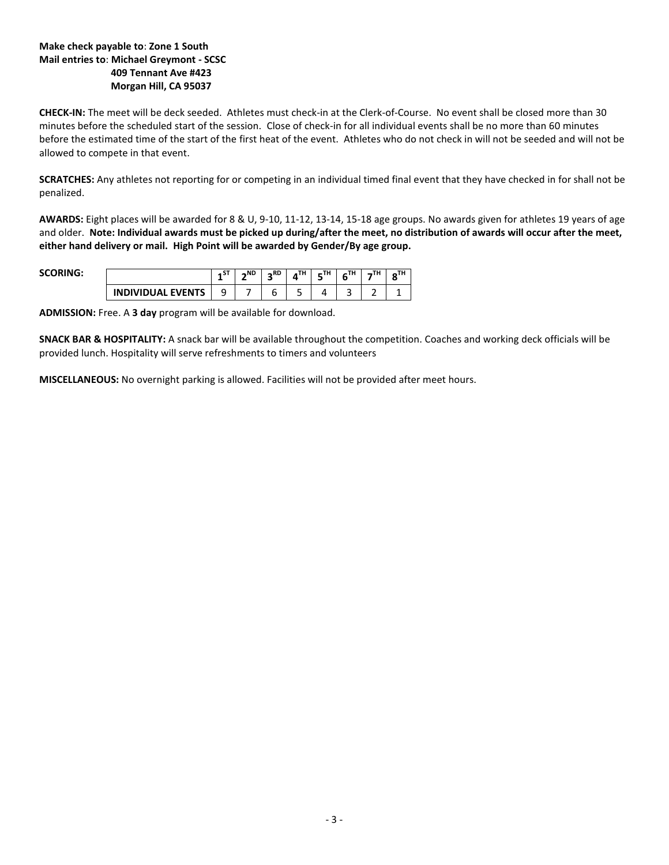# **Make check payable to**: **Zone 1 South Mail entries to**: **Michael Greymont - SCSC 409 Tennant Ave #423 Morgan Hill, CA 95037**

**CHECK-IN:** The meet will be deck seeded. Athletes must check-in at the Clerk-of-Course. No event shall be closed more than 30 minutes before the scheduled start of the session. Close of check-in for all individual events shall be no more than 60 minutes before the estimated time of the start of the first heat of the event. Athletes who do not check in will not be seeded and will not be allowed to compete in that event.

**SCRATCHES:** Any athletes not reporting for or competing in an individual timed final event that they have checked in for shall not be penalized.

**AWARDS:** Eight places will be awarded for 8 & U, 9-10, 11-12, 13-14, 15-18 age groups. No awards given for athletes 19 years of age and older. **Note: Individual awards must be picked up during/after the meet, no distribution of awards will occur after the meet, either hand delivery or mail. High Point will be awarded by Gender/By age group.**

**SCORING:** 

|  | $\sim$<br>. | $\sim$ <sub>ND</sub> | R <sub>D</sub> | <b>TU</b><br>۱н. | <b>TH</b><br>. | 711 |  |
|--|-------------|----------------------|----------------|------------------|----------------|-----|--|
|  | ۔           |                      |                |                  |                |     |  |

**ADMISSION:** Free. A **3 day** program will be available for download.

**SNACK BAR & HOSPITALITY:** A snack bar will be available throughout the competition. Coaches and working deck officials will be provided lunch. Hospitality will serve refreshments to timers and volunteers

**MISCELLANEOUS:** No overnight parking is allowed. Facilities will not be provided after meet hours.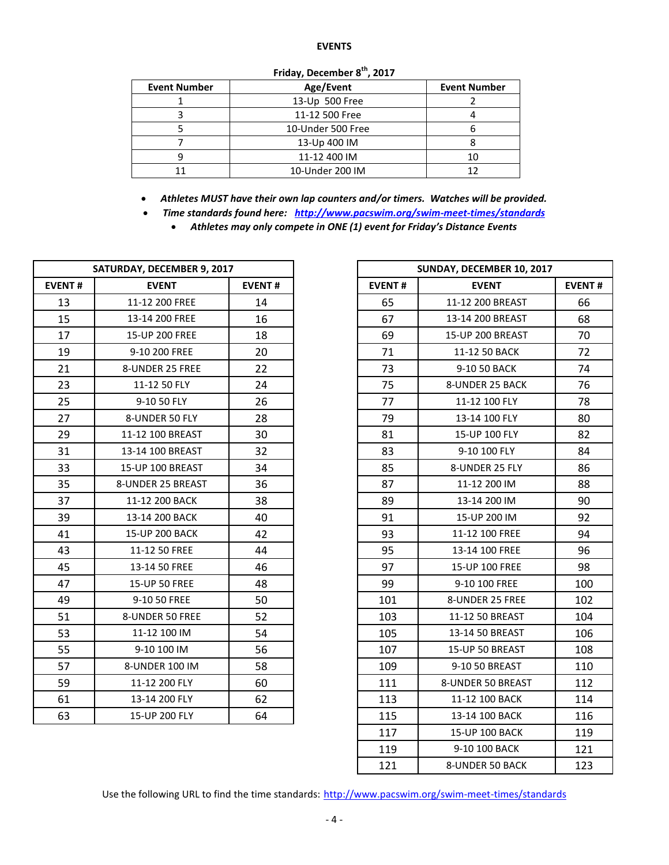### **EVENTS**

| <b>Event Number</b> | Age/Event         | <b>Event Number</b> |  |  |  |  |  |  |  |  |
|---------------------|-------------------|---------------------|--|--|--|--|--|--|--|--|
|                     | 13-Up 500 Free    |                     |  |  |  |  |  |  |  |  |
|                     | 11-12 500 Free    |                     |  |  |  |  |  |  |  |  |
|                     | 10-Under 500 Free |                     |  |  |  |  |  |  |  |  |
|                     | 13-Up 400 IM      |                     |  |  |  |  |  |  |  |  |
|                     | 11-12 400 IM      | 10                  |  |  |  |  |  |  |  |  |
|                     | 10-Under 200 IM   | 12                  |  |  |  |  |  |  |  |  |

### **Friday, December 8th, 2017**

*Athletes MUST have their own lap counters and/or timers. Watches will be provided.*

*Time standards found here: <http://www.pacswim.org/swim-meet-times/standards>*

*Athletes may only compete in ONE (1) event for Friday's Distance Events*

|               | SATURDAY, DECEMBER 9, 2017 |               |               | SUNDAY, DECEMBER 10, 2017 |               |  |  |  |
|---------------|----------------------------|---------------|---------------|---------------------------|---------------|--|--|--|
| <b>EVENT#</b> | <b>EVENT</b>               | <b>EVENT#</b> | <b>EVENT#</b> | <b>EVENT</b>              | <b>EVENT#</b> |  |  |  |
| 13            | 11-12 200 FREE             | 14            | 65            | 11-12 200 BREAST          | 66            |  |  |  |
| 15            | 13-14 200 FREE             | 16            | 67            | 13-14 200 BREAST          | 68            |  |  |  |
| 17            | 15-UP 200 FREE             | 18            | 69            | 15-UP 200 BREAST          | 70            |  |  |  |
| 19            | 9-10 200 FREE              | 20            | 71            | 11-12 50 BACK             | 72            |  |  |  |
| 21            | 8-UNDER 25 FREE            | 22            | 73            | 9-10 50 BACK              | 74            |  |  |  |
| 23            | 11-12 50 FLY               | 24            | 75            | 8-UNDER 25 BACK           | 76            |  |  |  |
| 25            | 9-10 50 FLY                | 26            | 77            | 11-12 100 FLY             | 78            |  |  |  |
| 27            | 8-UNDER 50 FLY             | 28            | 79            | 13-14 100 FLY             | 80            |  |  |  |
| 29            | 11-12 100 BREAST           | 30            | 81            | 15-UP 100 FLY             | 82            |  |  |  |
| 31            | 13-14 100 BREAST           | 32            | 83            | 9-10 100 FLY              | 84            |  |  |  |
| 33            | 15-UP 100 BREAST           | 34            | 85            | 8-UNDER 25 FLY            | 86            |  |  |  |
| 35            | 8-UNDER 25 BREAST          | 36            | 87            | 11-12 200 IM              | 88            |  |  |  |
| 37            | 11-12 200 BACK             | 38            | 89            | 13-14 200 IM              | 90            |  |  |  |
| 39            | 13-14 200 BACK             | 40            | 91            | 15-UP 200 IM              | 92            |  |  |  |
| 41            | 15-UP 200 BACK             | 42            | 93            | 11-12 100 FREE            | 94            |  |  |  |
| 43            | 11-12 50 FREE              | 44            | 95            | 13-14 100 FREE            | 96            |  |  |  |
| 45            | 13-14 50 FREE              | 46            | 97            | 15-UP 100 FREE            | 98            |  |  |  |
| 47            | 15-UP 50 FREE              | 48            | 99            | 9-10 100 FREE             | 100           |  |  |  |
| 49            | 9-10 50 FREE               | 50            | 101           | 8-UNDER 25 FREE           | 102           |  |  |  |
| 51            | 8-UNDER 50 FREE            | 52            | 103           | 11-12 50 BREAST           | 104           |  |  |  |
| 53            | 11-12 100 IM               | 54            | 105           | 13-14 50 BREAST           | 106           |  |  |  |
| 55            | 9-10 100 IM                | 56            | 107           | 15-UP 50 BREAST           | 108           |  |  |  |
| 57            | 8-UNDER 100 IM             | 58            | 109           | 9-10 50 BREAST            | 110           |  |  |  |
| 59            | 11-12 200 FLY              | 60            | 111           | 8-UNDER 50 BREAST         | 112           |  |  |  |
| 61            | 13-14 200 FLY              | 62            | 113           | 11-12 100 BACK            | 114           |  |  |  |
| 63            | 15-UP 200 FLY              | 64            | 115           | 13-14 100 BACK            | 116           |  |  |  |

| SATURDAY, DECEMBER 9, 2017 |                   |               |               | SUNDAY, DECEMBER 10, 2017 |               |  |  |  |
|----------------------------|-------------------|---------------|---------------|---------------------------|---------------|--|--|--|
| ENT#                       | <b>EVENT</b>      | <b>EVENT#</b> | <b>EVENT#</b> | <b>EVENT</b>              | <b>EVENT#</b> |  |  |  |
| 13                         | 11-12 200 FREE    | 14            | 65            | 11-12 200 BREAST          | 66            |  |  |  |
| 15                         | 13-14 200 FREE    | 16            | 67            | 13-14 200 BREAST          | 68            |  |  |  |
| 17                         | 15-UP 200 FREE    | 18            | 69            | 15-UP 200 BREAST          | 70            |  |  |  |
| 19                         | 9-10 200 FREE     | 20            | 71            | 11-12 50 BACK             | 72            |  |  |  |
| 21                         | 8-UNDER 25 FREE   | 22            | 73            | 9-10 50 BACK              | 74            |  |  |  |
| 23                         | 11-12 50 FLY      | 24            | 75            | 8-UNDER 25 BACK           | 76            |  |  |  |
| 25                         | 9-10 50 FLY       | 26            | 77            | 11-12 100 FLY             | 78            |  |  |  |
| 27                         | 8-UNDER 50 FLY    | 28            | 79            | 13-14 100 FLY             | 80            |  |  |  |
| 29                         | 11-12 100 BREAST  | 30            | 81            | 15-UP 100 FLY             | 82            |  |  |  |
| 31                         | 13-14 100 BREAST  | 32            | 83            | 9-10 100 FLY              | 84            |  |  |  |
| 33                         | 15-UP 100 BREAST  | 34            | 85            | 8-UNDER 25 FLY            | 86            |  |  |  |
| 35                         | 8-UNDER 25 BREAST | 36            | 87            | 11-12 200 IM              | 88            |  |  |  |
| 37                         | 11-12 200 BACK    | 38            | 89            | 13-14 200 IM              | 90            |  |  |  |
| 39                         | 13-14 200 BACK    | 40            | 91            | 15-UP 200 IM              | 92            |  |  |  |
| 41                         | 15-UP 200 BACK    | 42            | 93            | 11-12 100 FREE            | 94            |  |  |  |
| 43                         | 11-12 50 FREE     | 44            | 95            | 13-14 100 FREE            | 96            |  |  |  |
| 45                         | 13-14 50 FREE     | 46            | 97            | 15-UP 100 FREE            | 98            |  |  |  |
| 47                         | 15-UP 50 FREE     | 48            | 99            | 9-10 100 FREE             | 100           |  |  |  |
| 49                         | 9-10 50 FREE      | 50            | 101           | 8-UNDER 25 FREE           | 102           |  |  |  |
| 51                         | 8-UNDER 50 FREE   | 52            | 103           | 11-12 50 BREAST           | 104           |  |  |  |
| 53                         | 11-12 100 IM      | 54            | 105           | 13-14 50 BREAST           | 106           |  |  |  |
| 55                         | 9-10 100 IM       | 56            | 107           | 15-UP 50 BREAST           | 108           |  |  |  |
| 57                         | 8-UNDER 100 IM    | 58            | 109           | 9-10 50 BREAST            | 110           |  |  |  |
| 59                         | 11-12 200 FLY     | 60            | 111           | 8-UNDER 50 BREAST         | 112           |  |  |  |
| 61                         | 13-14 200 FLY     | 62            | 113           | 11-12 100 BACK            | 114           |  |  |  |
| 63                         | 15-UP 200 FLY     | 64            | 115           | 13-14 100 BACK            | 116           |  |  |  |
|                            |                   |               | 117           | 15-UP 100 BACK            | 119           |  |  |  |
|                            |                   |               | 119           | 9-10 100 BACK             | 121           |  |  |  |
|                            |                   |               | 121           | 8-UNDER 50 BACK           | 123           |  |  |  |

Use the following URL to find the time standards: <http://www.pacswim.org/swim-meet-times/standards>